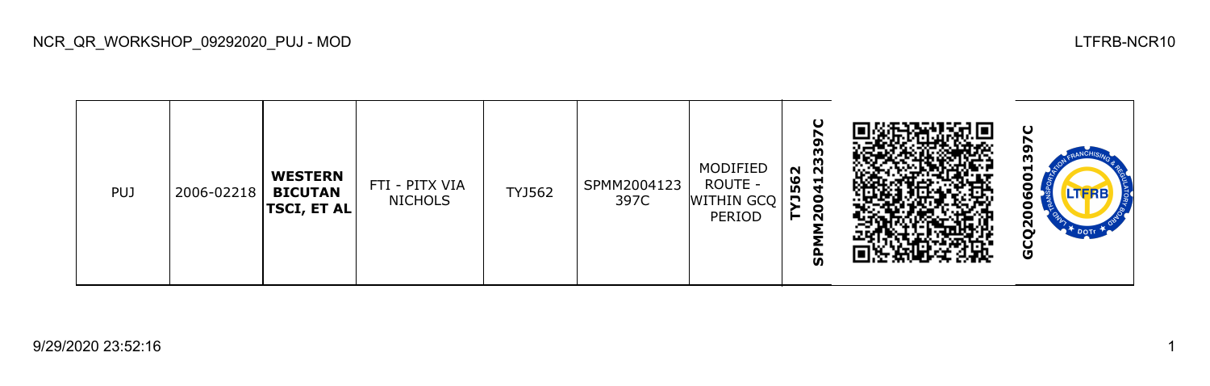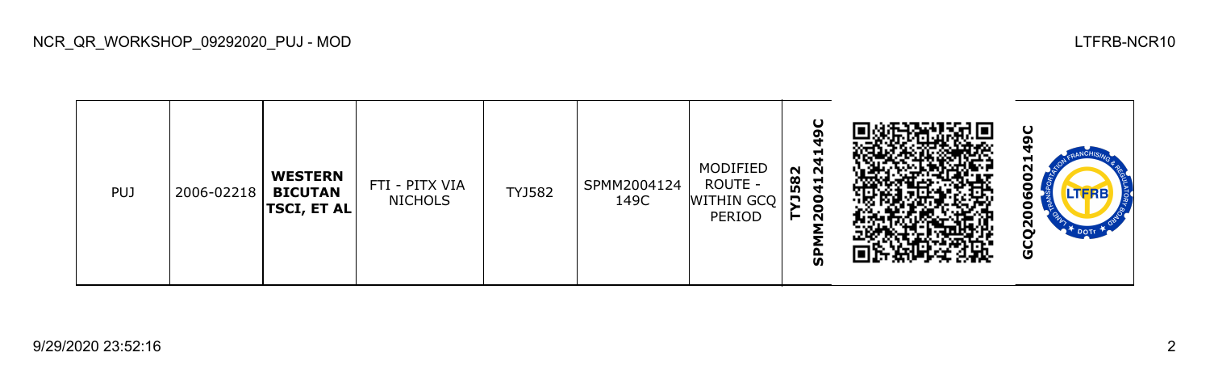| <b>PUJ</b> | 2006-02218 | <b>WESTERN</b><br><b>BICUTAN</b><br><b>TSCI, ET AL</b> | FTI - PITX VIA<br><b>NICHOLS</b> | TYJ582 | SPMM2004124<br>149C | MODIFIED<br>ROUTE -<br>WITHIN GCQ<br>PERIOD | O<br>σ<br>$\overline{\mathbf{N}}$<br>582<br>코<br>4<br>$\bullet$<br>-<br>о<br>N<br><u>ທ</u> |  | ပ<br>Γ<br>N<br>LTFRE<br>w<br>U<br>$\mathbf{z}$<br>$\mathbb{R}^+$ DOTT<br>ပ<br>O |
|------------|------------|--------------------------------------------------------|----------------------------------|--------|---------------------|---------------------------------------------|--------------------------------------------------------------------------------------------|--|---------------------------------------------------------------------------------|
|------------|------------|--------------------------------------------------------|----------------------------------|--------|---------------------|---------------------------------------------|--------------------------------------------------------------------------------------------|--|---------------------------------------------------------------------------------|

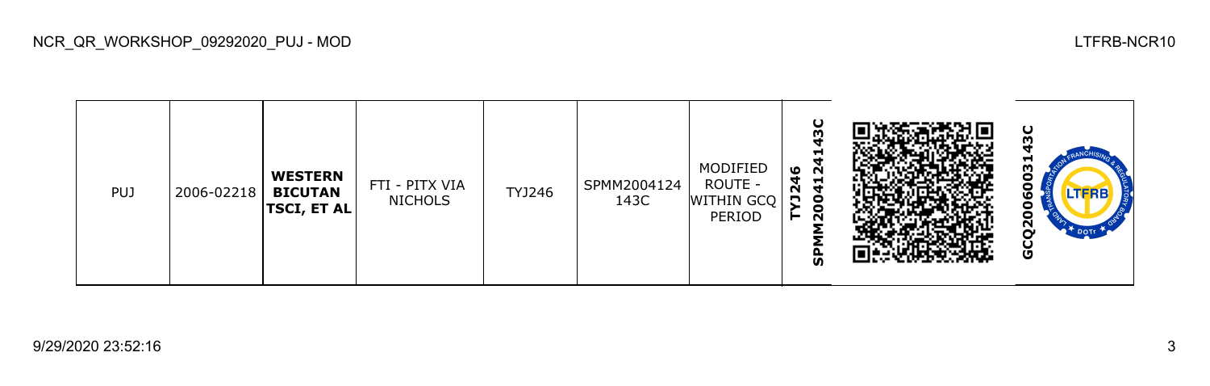

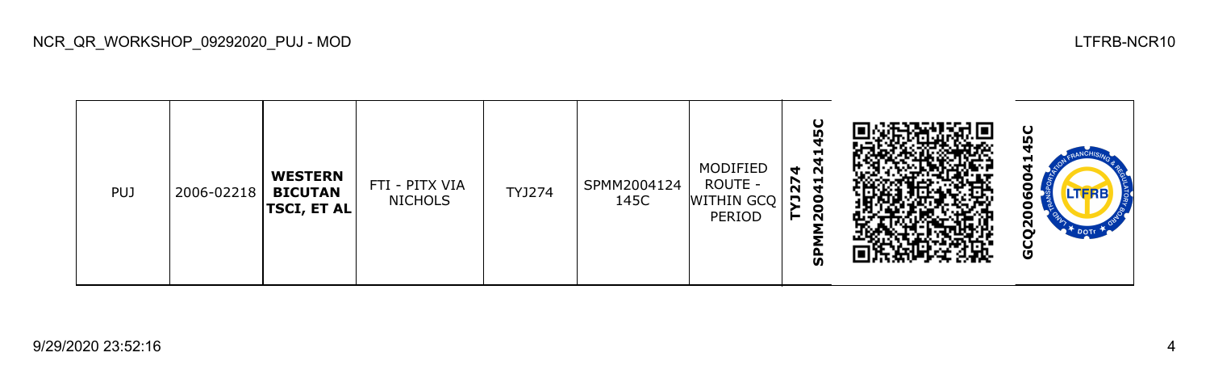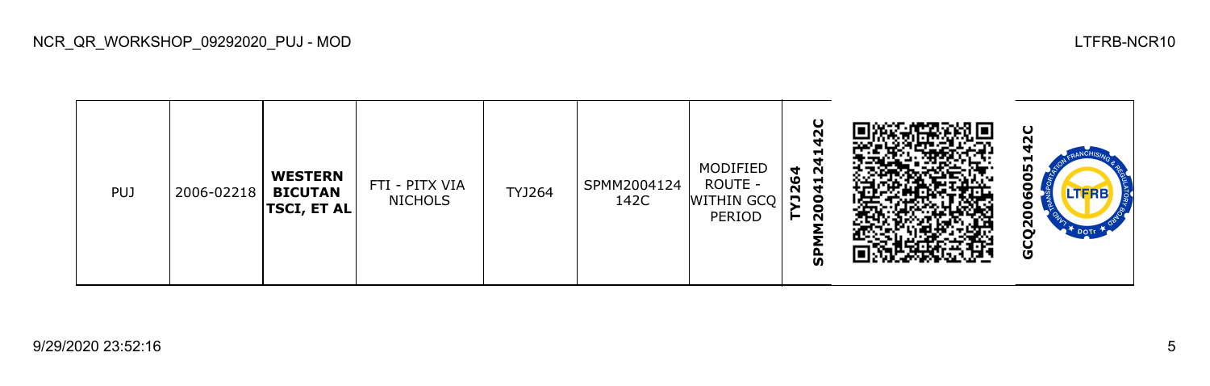

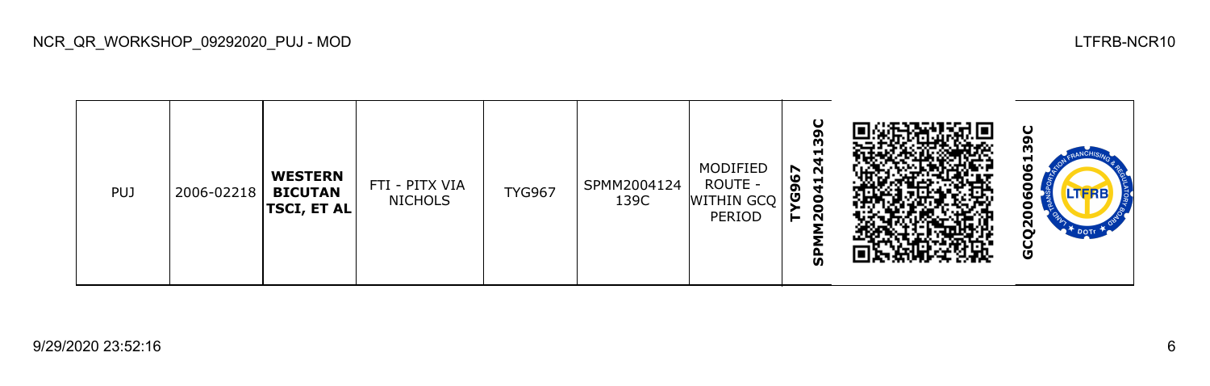

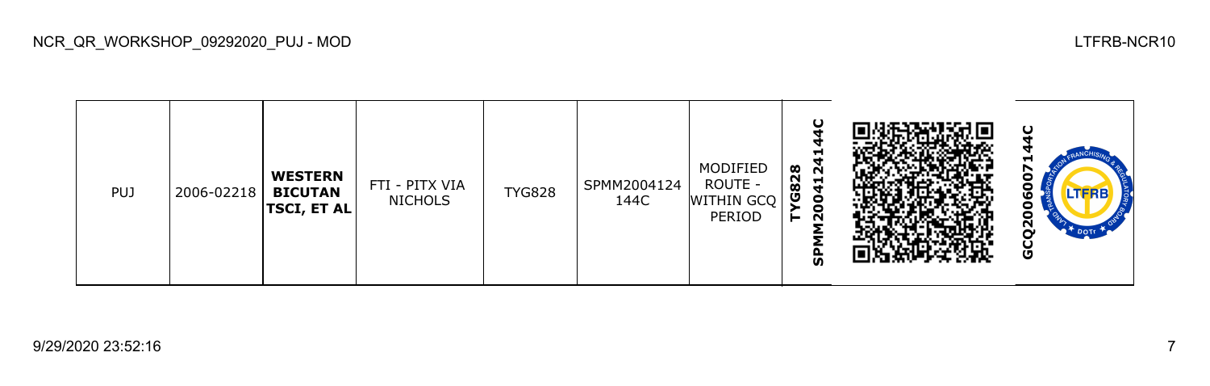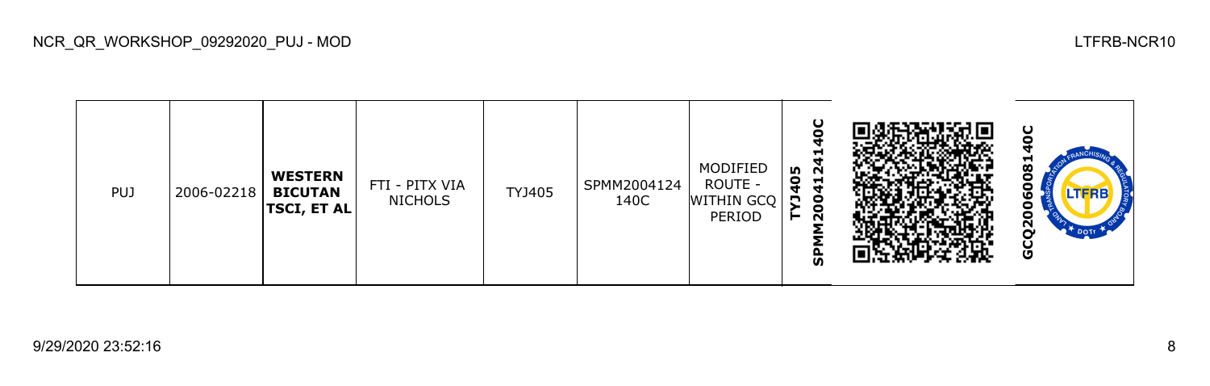

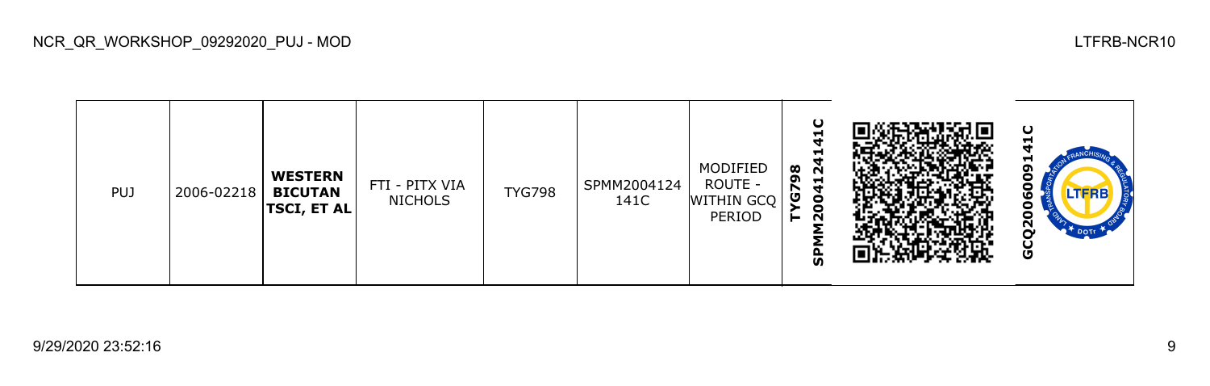

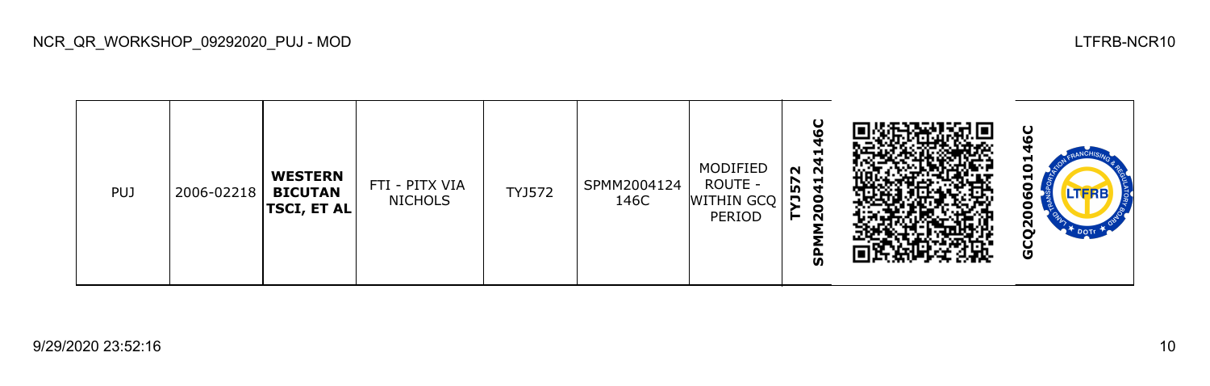| <b>PUJ</b> | 2006-02218 | <b>WESTERN</b><br><b>BICUTAN</b><br><b>TSCI, ET AL</b> | FTI - PITX VIA<br><b>NICHOLS</b> | TYJ572 | SPMM2004124<br>146C | MODIFIED<br>ROUTE -<br>WITHIN GCQ<br>PERIOD | ပ<br>ഥ<br>−<br>$N$ $\overline{N}$<br>$\frac{1}{4}$<br>57<br>n o<br><b>QC</b><br>ັທ |  | ပ<br>П<br>Н<br>o<br><b>LTFRB7</b><br>ဖ<br>ō<br>o<br>$\overline{2}$<br><b>R<sup>T</sup>DOTE</b><br>ט |
|------------|------------|--------------------------------------------------------|----------------------------------|--------|---------------------|---------------------------------------------|------------------------------------------------------------------------------------|--|-----------------------------------------------------------------------------------------------------|
|------------|------------|--------------------------------------------------------|----------------------------------|--------|---------------------|---------------------------------------------|------------------------------------------------------------------------------------|--|-----------------------------------------------------------------------------------------------------|

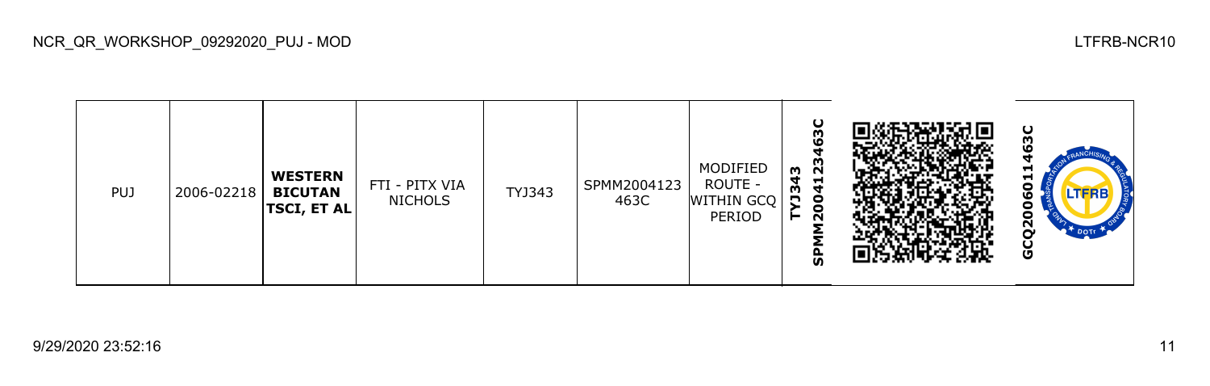

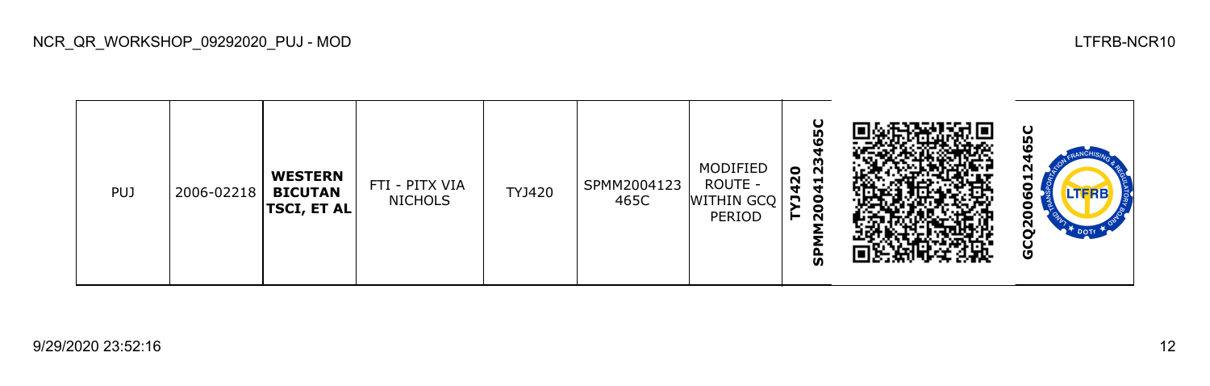

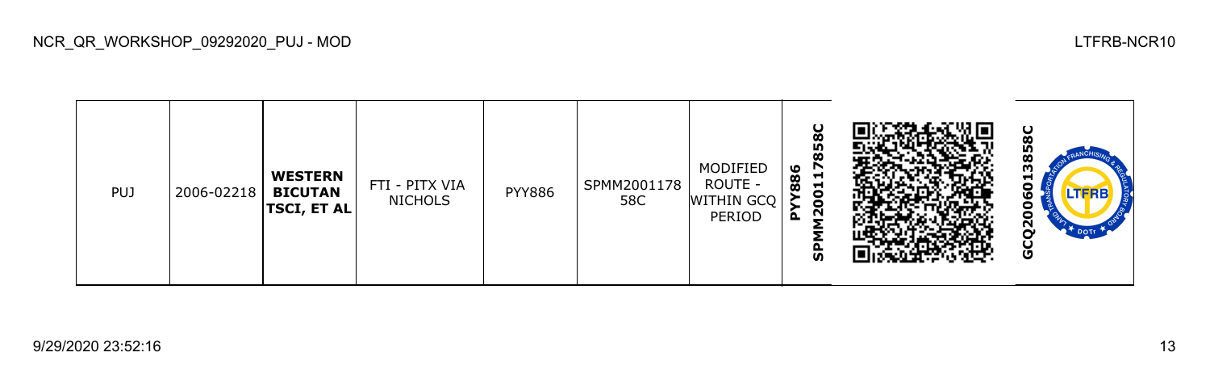

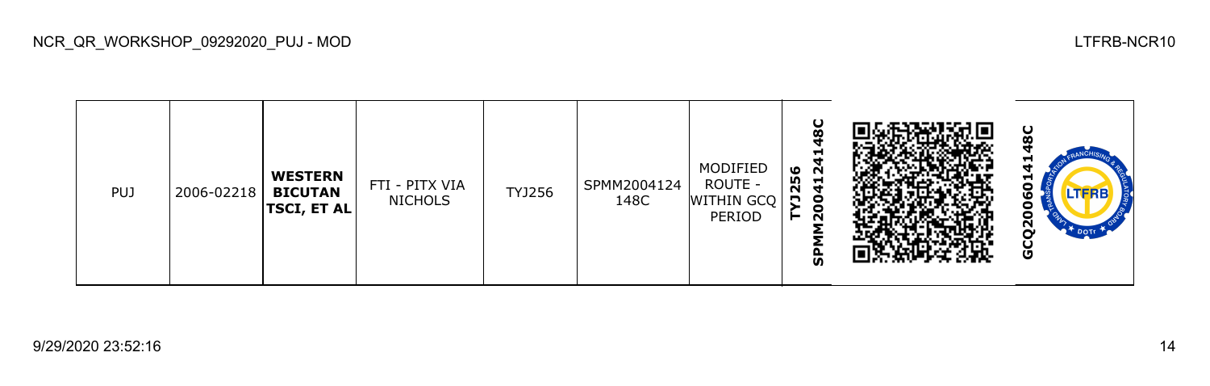

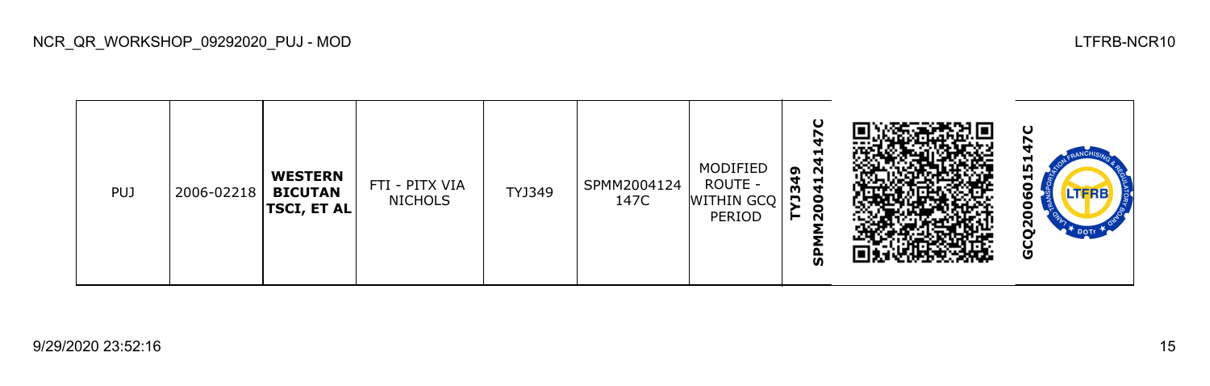

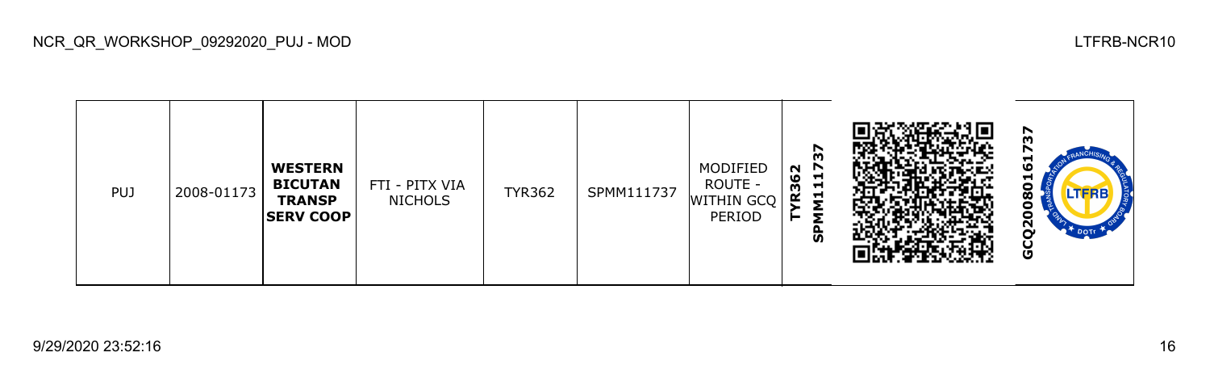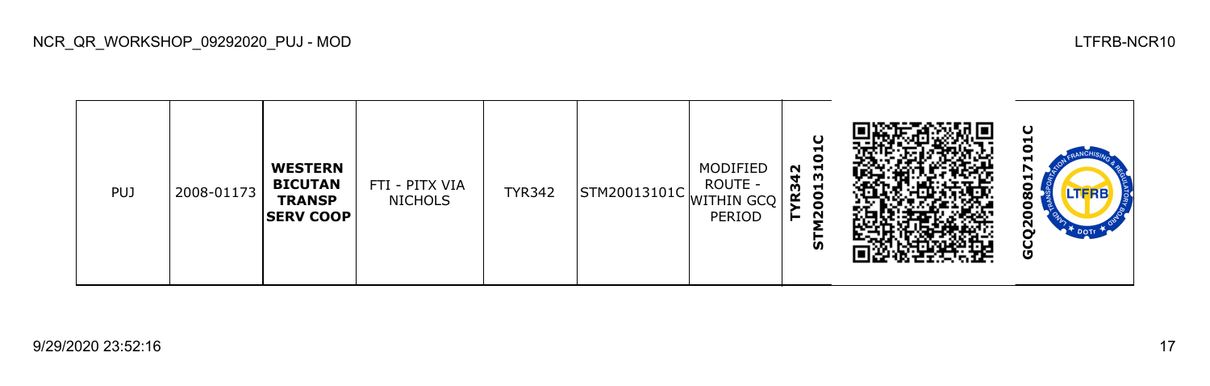

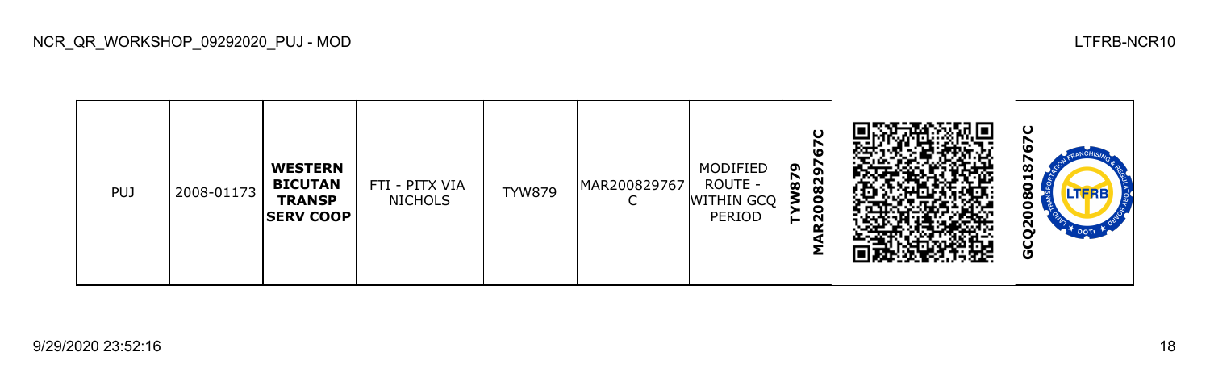

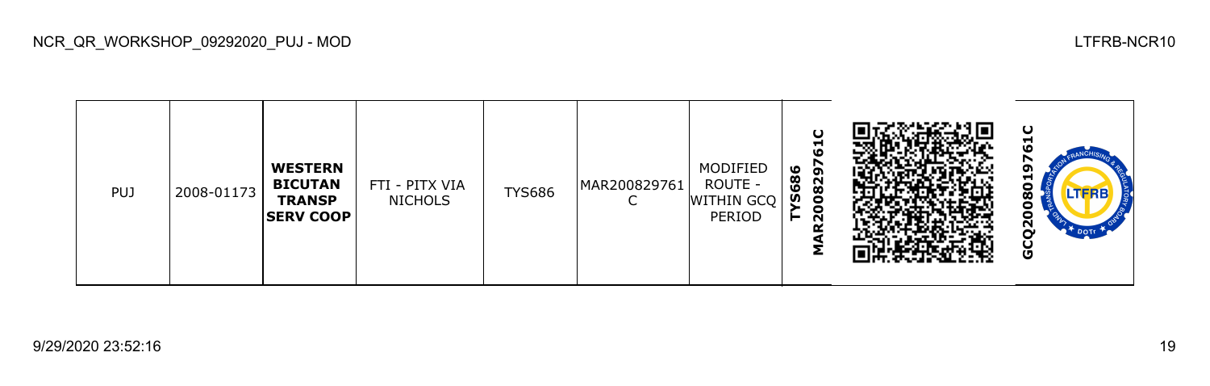

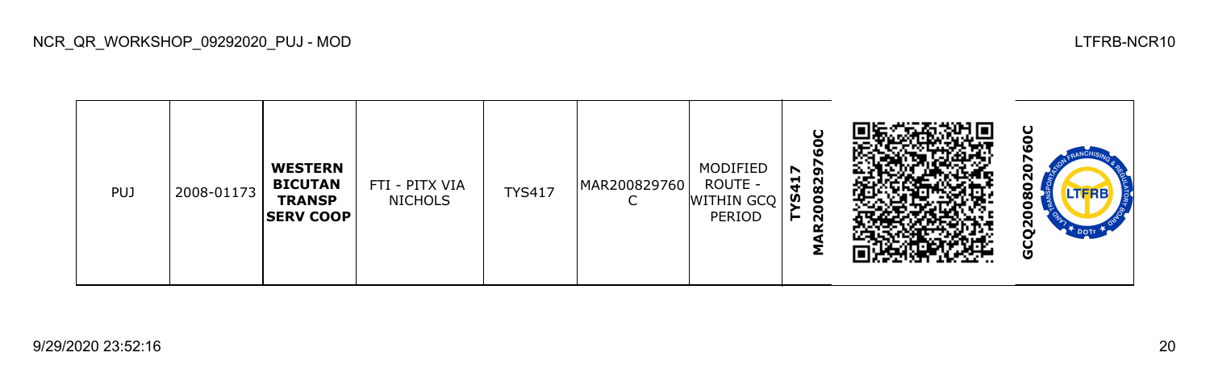

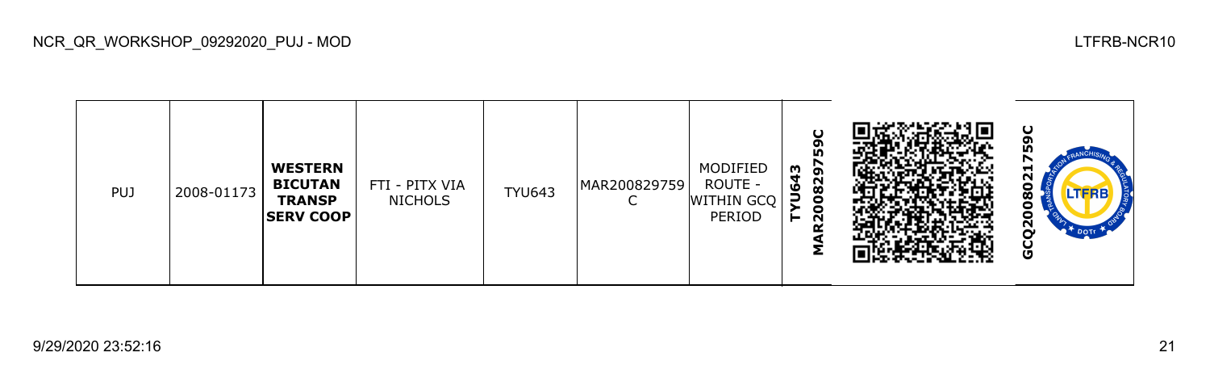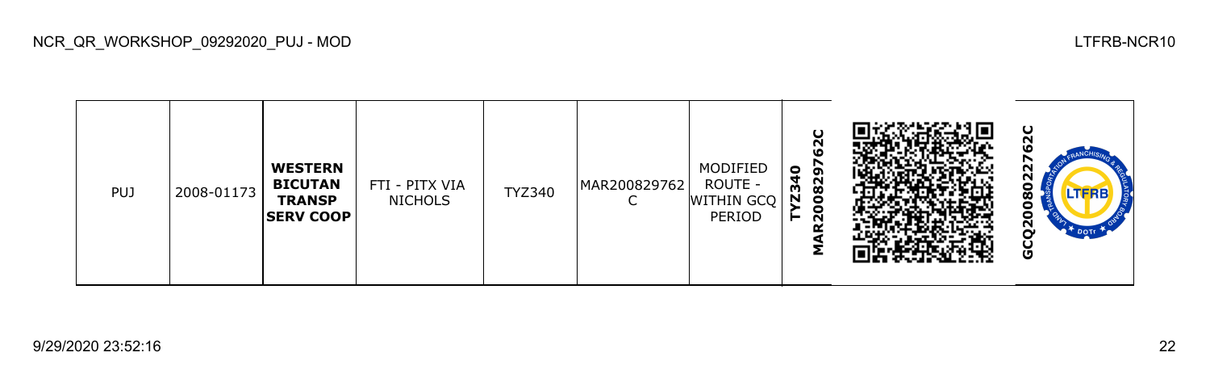

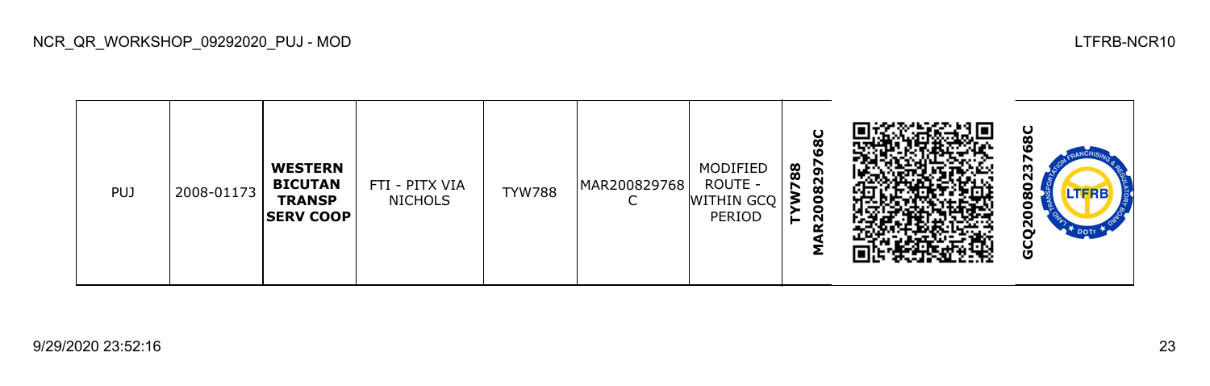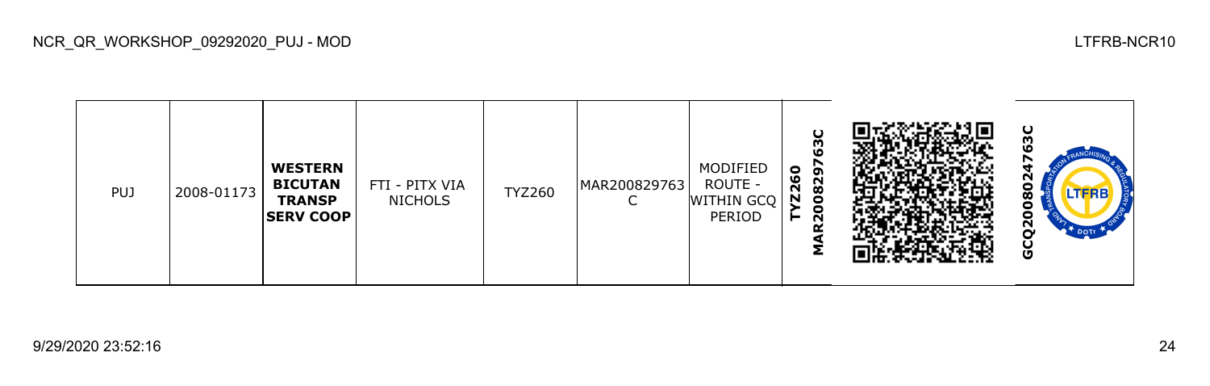

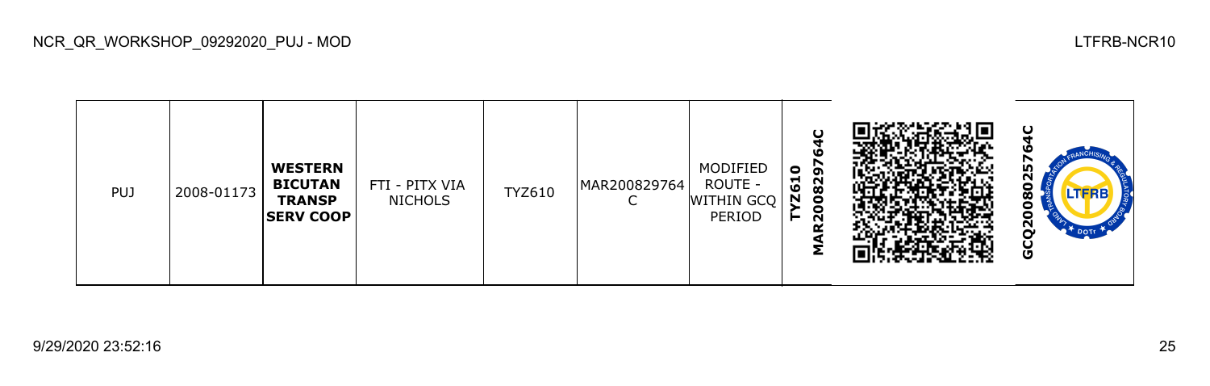

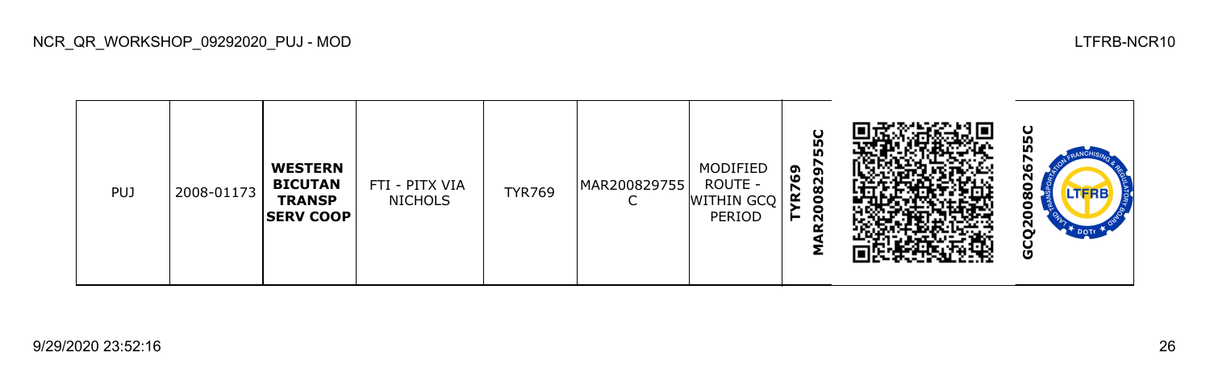

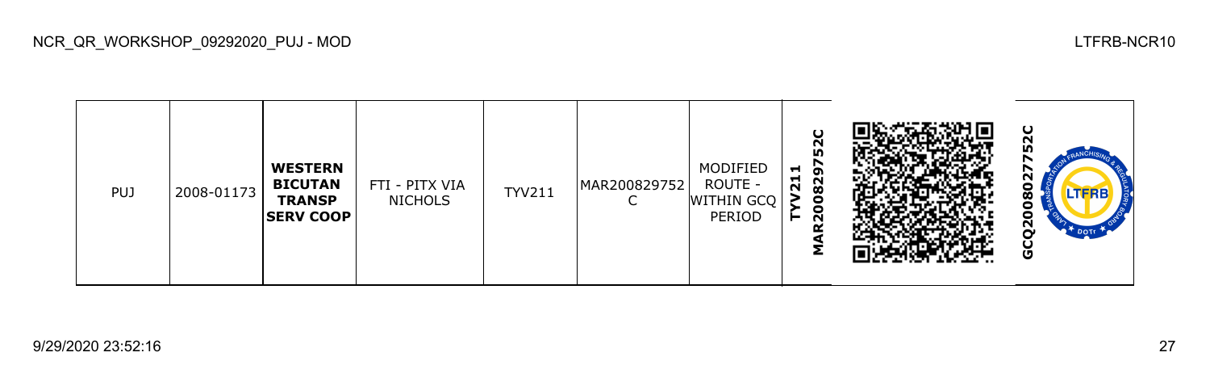

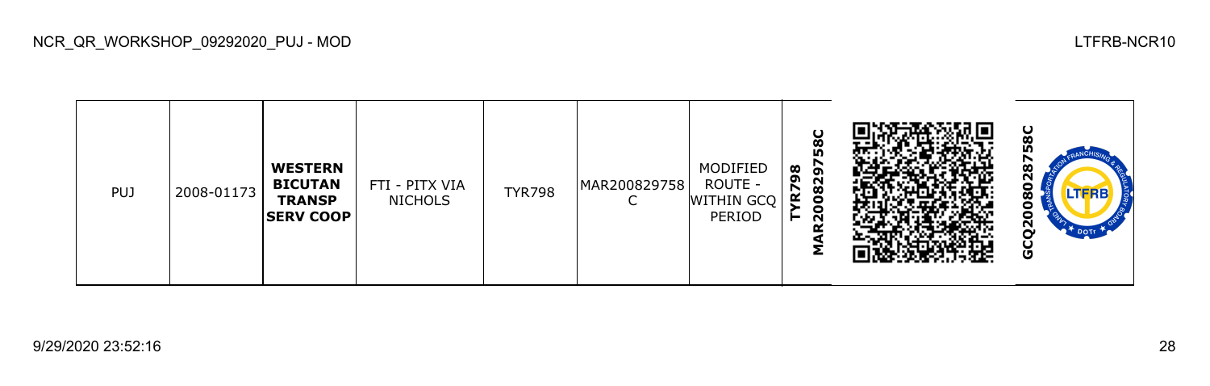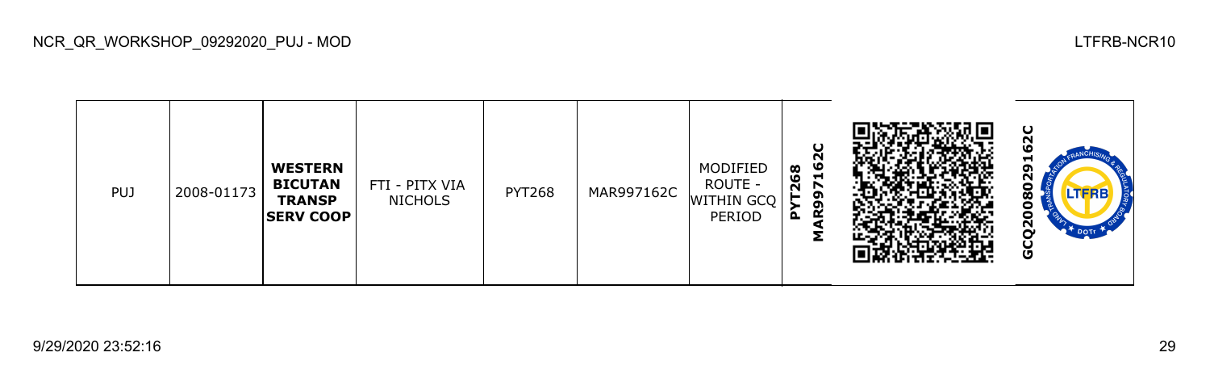

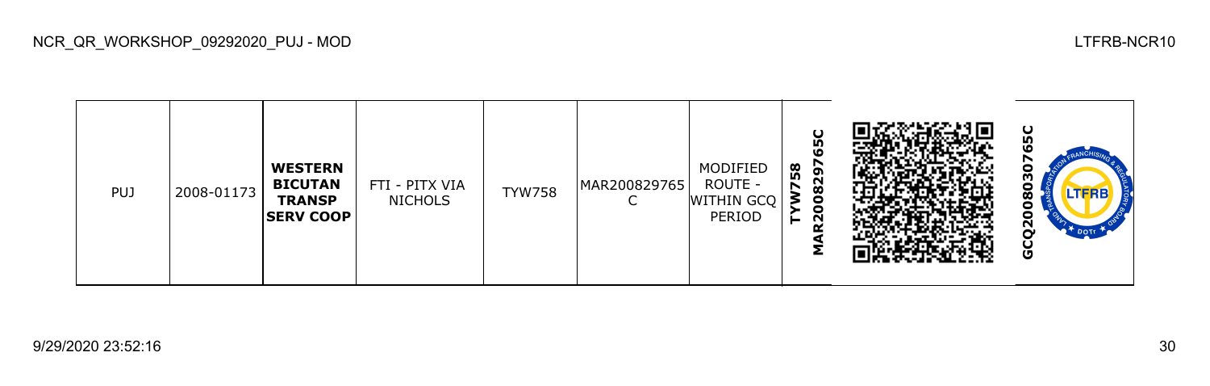

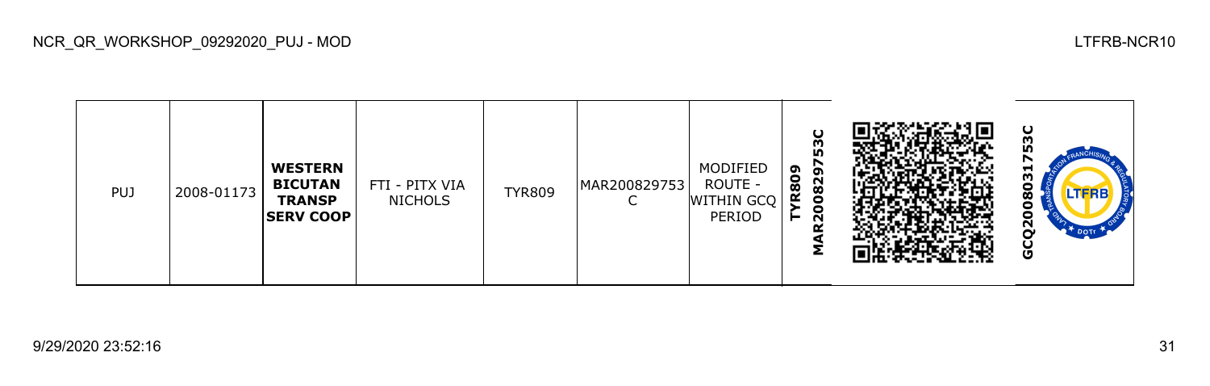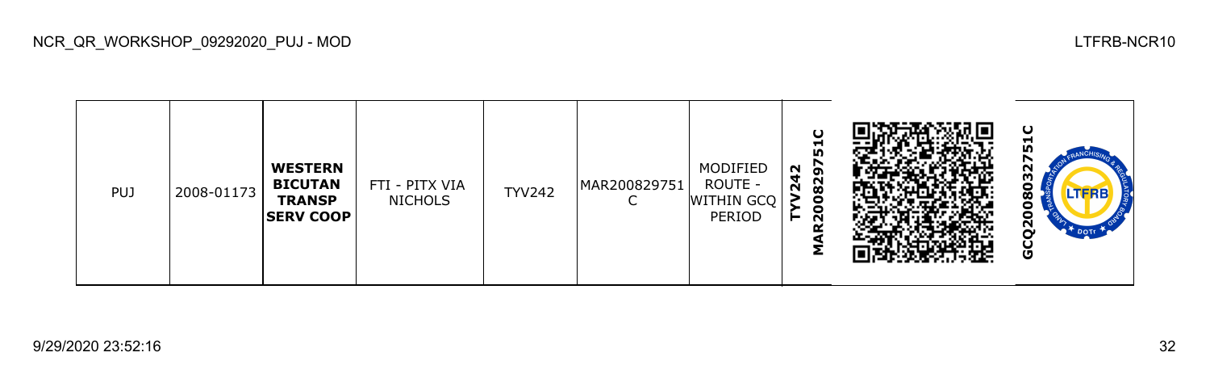| <b>PUJ</b> | 2008-01173 | <b>WESTERN</b><br><b>BICUTAN</b><br><b>TRANSP</b><br><b>SERV COOP</b> | FTI - PITX VIA<br><b>NICHOLS</b> | <b>TYV242</b> | MAR200829751 | MODIFIED<br>ROUTE -<br>WITHIN GCQ<br>PERIOD | ပ<br>ᆋ<br><b>In</b><br><u>ნ</u><br>N<br>₹<br>$\sim$<br>$\mathbf{\Omega}$<br>$\infty$<br>0<br>o<br>$\sim$<br>o<br>Σ |  | ပ<br>-<br>n<br>N<br>ω<br>o<br>LTERB<br>ထ<br>o<br>$\mathbf{z}$<br>$\mathbf{P}^{\mathbf{T}}$ DOTT<br>O |
|------------|------------|-----------------------------------------------------------------------|----------------------------------|---------------|--------------|---------------------------------------------|--------------------------------------------------------------------------------------------------------------------|--|------------------------------------------------------------------------------------------------------|
|------------|------------|-----------------------------------------------------------------------|----------------------------------|---------------|--------------|---------------------------------------------|--------------------------------------------------------------------------------------------------------------------|--|------------------------------------------------------------------------------------------------------|

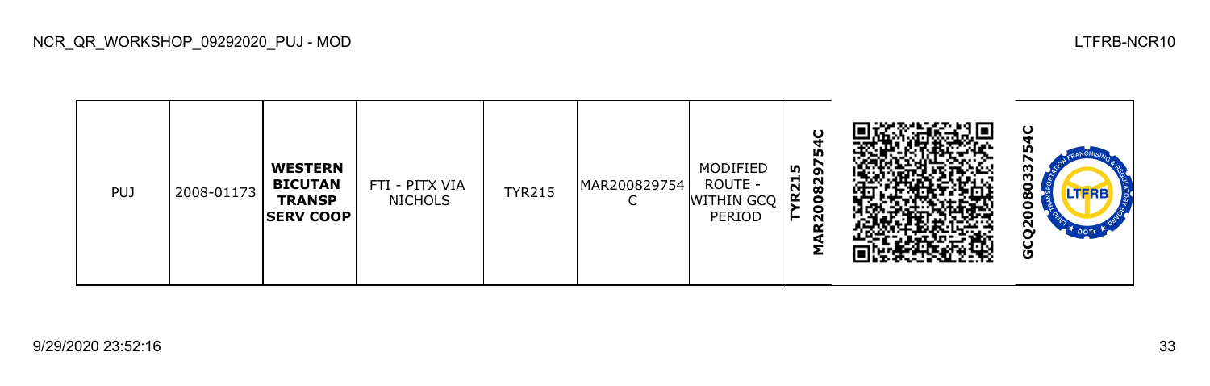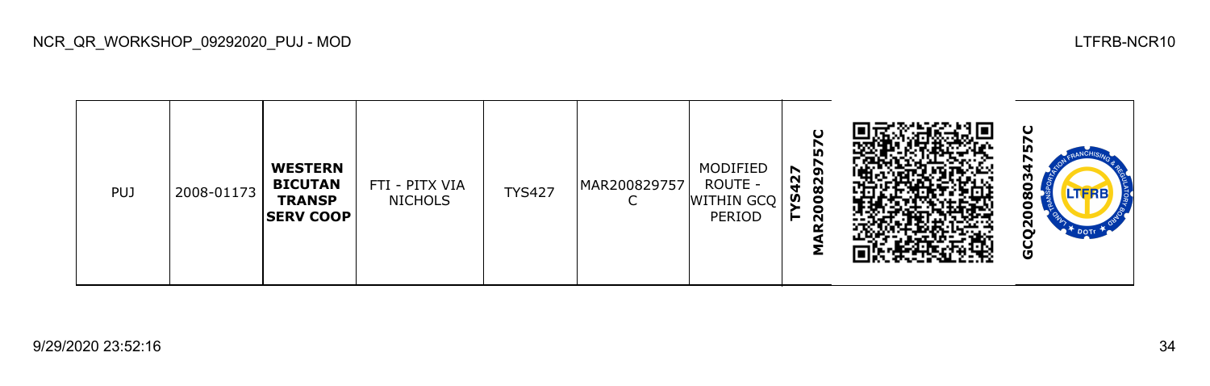| <b>PUJ</b> | 2008-01173 | <b>WESTERN</b><br><b>BICUTAN</b><br><b>TRANSP</b><br><b>SERV COOP</b> | FTI - PITX VIA<br><b>NICHOLS</b> | <b>TYS427</b> | MAR200829757 | MODIFIED<br>ROUTE -<br><b>WITHIN GCQ</b><br>PERIOD | $\mathbf C$<br>57<br>N<br>ຸດ<br>$\sim$<br>$\sim$<br>$\bf{8}$<br>n<br>c<br>$\sim$ |  | ပ<br>n<br>ო<br>o<br>LTFRB<br>œ<br>U<br><u>გ</u><br>$\mathbb{R}^T$ DOTE<br>O |
|------------|------------|-----------------------------------------------------------------------|----------------------------------|---------------|--------------|----------------------------------------------------|----------------------------------------------------------------------------------|--|-----------------------------------------------------------------------------|
|------------|------------|-----------------------------------------------------------------------|----------------------------------|---------------|--------------|----------------------------------------------------|----------------------------------------------------------------------------------|--|-----------------------------------------------------------------------------|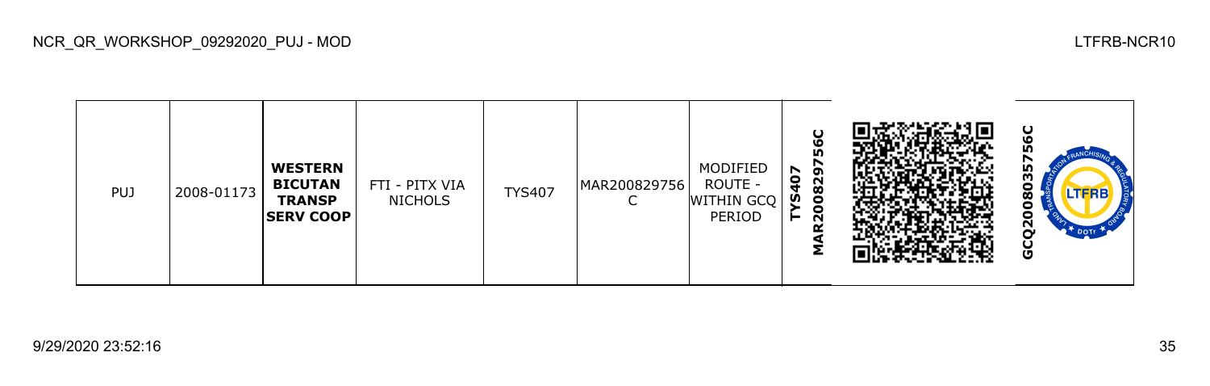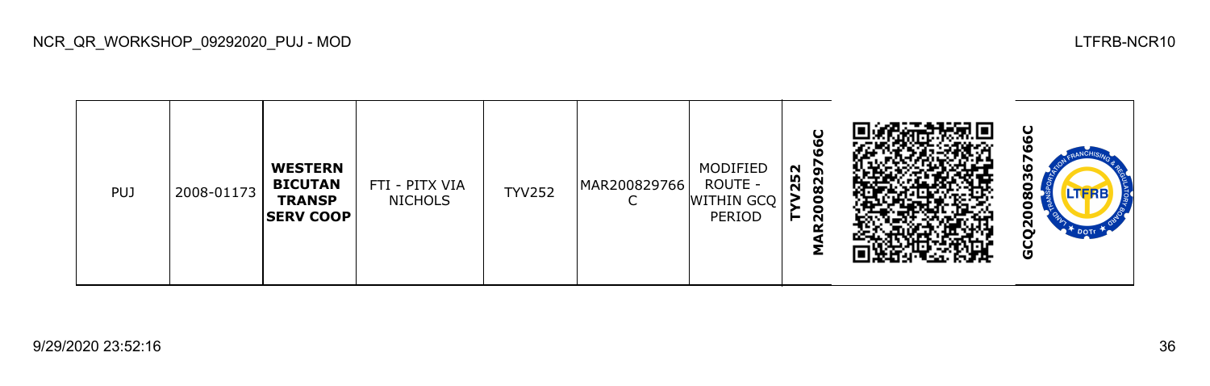

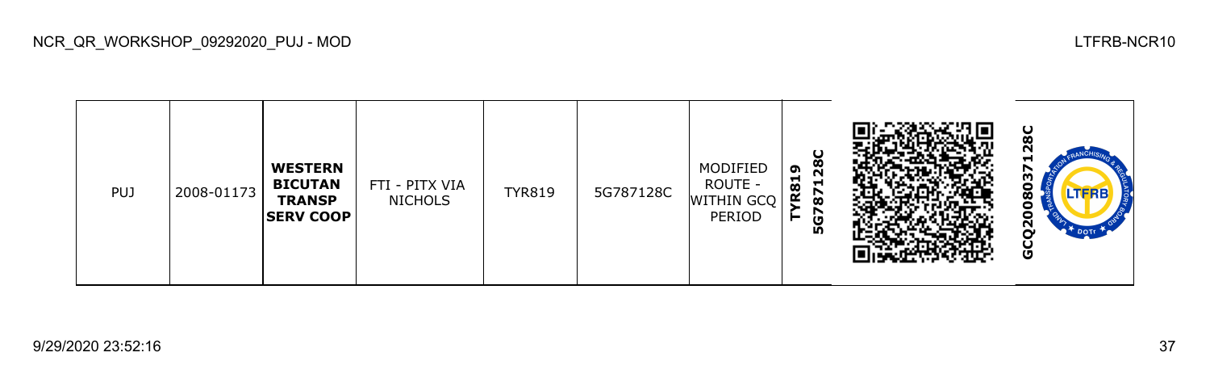